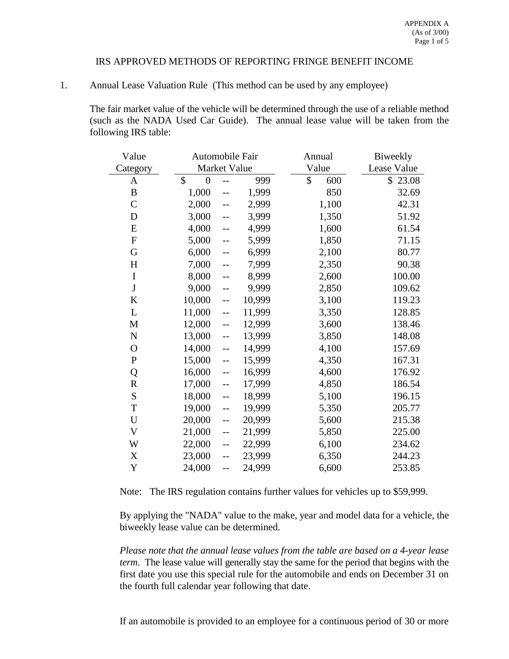### IRS APPROVED METHODS OF REPORTING FRINGE BENEFIT INCOME

### 1. Annual Lease Valuation Rule (This method can be used by any employee)

The fair market value of the vehicle will be determined through the use of a reliable method (such as the NADA Used Car Guide). The annual lease value will be taken from the following IRS table:

| Value         | Automobile Fair                 |                          |        | Annual    | Biweekly    |  |
|---------------|---------------------------------|--------------------------|--------|-----------|-------------|--|
| Category      | Market Value                    |                          |        | Value     | Lease Value |  |
| $\mathbf{A}$  | $\mathcal{S}$<br>$\overline{0}$ |                          | 999    | \$<br>600 | \$23.08     |  |
| $\, {\bf B}$  | 1,000                           |                          | 1,999  | 850       | 32.69       |  |
| $\mathcal{C}$ | 2,000                           | $-$                      | 2,999  | 1,100     | 42.31       |  |
| $\mathbf D$   | 3,000                           | $-$                      | 3,999  | 1,350     | 51.92       |  |
| ${\bf E}$     | 4,000                           | $-$                      | 4,999  | 1,600     | 61.54       |  |
| $\mathbf{F}$  | 5,000                           | $\overline{\phantom{a}}$ | 5,999  | 1,850     | 71.15       |  |
| G             | 6,000                           | $\overline{a}$           | 6,999  | 2,100     | 80.77       |  |
| H             | 7,000                           | $-$                      | 7,999  | 2,350     | 90.38       |  |
| $\bf I$       | 8,000                           | $\overline{a}$           | 8,999  | 2,600     | 100.00      |  |
| $\bf J$       | 9,000                           | $-$                      | 9,999  | 2,850     | 109.62      |  |
| K             | 10,000                          | $\overline{\phantom{a}}$ | 10,999 | 3,100     | 119.23      |  |
| $\mathbf L$   | 11,000                          | $-$                      | 11,999 | 3,350     | 128.85      |  |
| $\mathbf M$   | 12,000                          | $\overline{\phantom{a}}$ | 12,999 | 3,600     | 138.46      |  |
| ${\bf N}$     | 13,000                          | $\overline{\phantom{a}}$ | 13,999 | 3,850     | 148.08      |  |
| $\mathcal{O}$ | 14,000                          | $\overline{\phantom{a}}$ | 14,999 | 4,100     | 157.69      |  |
| ${\bf P}$     | 15,000                          | $-$                      | 15,999 | 4,350     | 167.31      |  |
| Q             | 16,000                          | $-$                      | 16,999 | 4,600     | 176.92      |  |
| ${\bf R}$     | 17,000                          | $\overline{\phantom{a}}$ | 17,999 | 4,850     | 186.54      |  |
| ${\bf S}$     | 18,000                          | $\overline{\phantom{a}}$ | 18,999 | 5,100     | 196.15      |  |
| T             | 19,000                          | $\overline{\phantom{a}}$ | 19,999 | 5,350     | 205.77      |  |
| $\mathbf U$   | 20,000                          | $\overline{a}$           | 20,999 | 5,600     | 215.38      |  |
| V             | 21,000                          | $\overline{a}$           | 21,999 | 5,850     | 225.00      |  |
| W             | 22,000                          | $\overline{\phantom{a}}$ | 22,999 | 6,100     | 234.62      |  |
| $\mathbf X$   | 23,000                          | $\overline{a}$           | 23,999 | 6,350     | 244.23      |  |
| Y             | 24,000                          | $-$                      | 24,999 | 6,600     | 253.85      |  |

Note: The IRS regulation contains further values for vehicles up to \$59,999.

By applying the "NADA" value to the make, year and model data for a vehicle, the biweekly lease value can be determined.

*Please note that the annual lease values from the table are based on a 4-year lease term*. The lease value will generally stay the same for the period that begins with the first date you use this special rule for the automobile and ends on December 31 on the fourth full calendar year following that date.

If an automobile is provided to an employee for a continuous period of 30 or more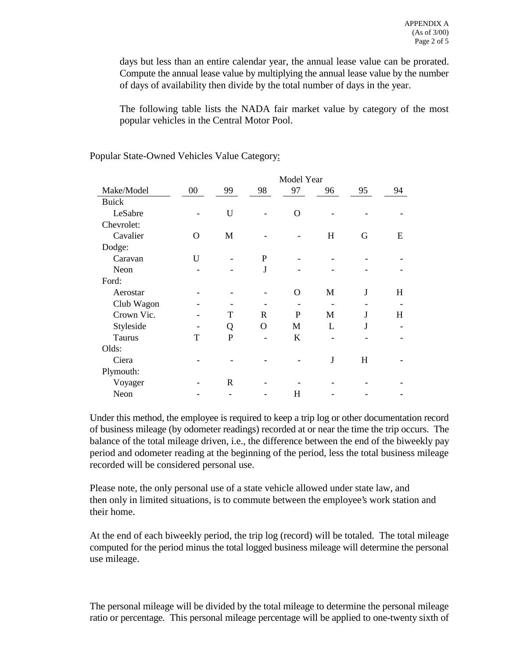days but less than an entire calendar year, the annual lease value can be prorated. Compute the annual lease value by multiplying the annual lease value by the number of days of availability then divide by the total number of days in the year.

The following table lists the NADA fair market value by category of the most popular vehicles in the Central Motor Pool.

|              | Model Year |                |              |         |    |    |    |
|--------------|------------|----------------|--------------|---------|----|----|----|
| Make/Model   | $00\,$     | 99             | 98           | 97      | 96 | 95 | 94 |
| <b>Buick</b> |            |                |              |         |    |    |    |
| LeSabre      |            | U              |              | O       |    |    |    |
| Chevrolet:   |            |                |              |         |    |    |    |
| Cavalier     | $\Omega$   | M              |              |         | H  | G  | E  |
| Dodge:       |            |                |              |         |    |    |    |
| Caravan      | U          |                | P            |         |    |    |    |
| Neon         |            |                | J            |         |    |    |    |
| Ford:        |            |                |              |         |    |    |    |
| Aerostar     |            |                |              | O       | M  | J  | H  |
| Club Wagon   |            |                |              |         |    |    |    |
| Crown Vic.   |            | T              | R            | P       | M  | J  | H  |
| Styleside    |            | Q              | $\mathbf{O}$ | M       | L  | J  |    |
| Taurus       | T          | $\overline{P}$ |              | $\bf K$ |    |    |    |
| Olds:        |            |                |              |         |    |    |    |
| Ciera        |            |                |              |         | J  | H  |    |
| Plymouth:    |            |                |              |         |    |    |    |
| Voyager      |            | $\mathbb{R}$   |              |         |    |    |    |
| Neon         |            |                |              | Н       |    |    |    |

# Popular State-Owned Vehicles Value Category:

Under this method, the employee is required to keep a trip log or other documentation record of business mileage (by odometer readings) recorded at or near the time the trip occurs. The balance of the total mileage driven, i.e., the difference between the end of the biweekly pay period and odometer reading at the beginning of the period, less the total business mileage recorded will be considered personal use.

Please note, the only personal use of a state vehicle allowed under state law, and then only in limited situations, is to commute between the employee's work station and their home.

At the end of each biweekly period, the trip log (record) will be totaled. The total mileage computed for the period minus the total logged business mileage will determine the personal use mileage.

The personal mileage will be divided by the total mileage to determine the personal mileage ratio or percentage. This personal mileage percentage will be applied to one-twenty sixth of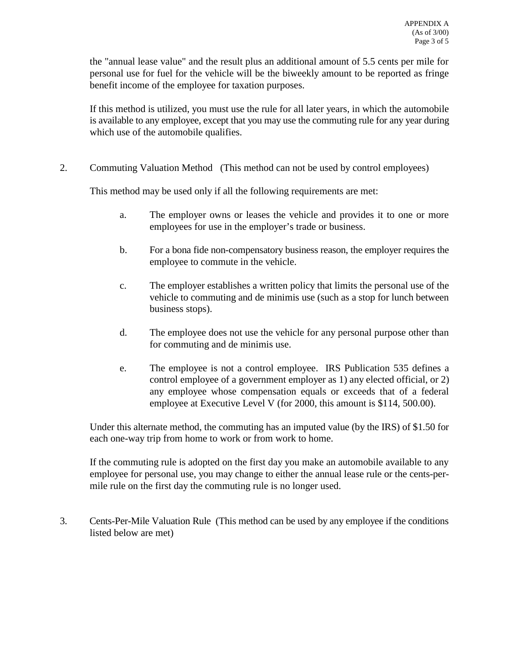the "annual lease value" and the result plus an additional amount of 5.5 cents per mile for personal use for fuel for the vehicle will be the biweekly amount to be reported as fringe benefit income of the employee for taxation purposes.

If this method is utilized, you must use the rule for all later years, in which the automobile is available to any employee, except that you may use the commuting rule for any year during which use of the automobile qualifies.

2. Commuting Valuation Method (This method can not be used by control employees)

This method may be used only if all the following requirements are met:

- a. The employer owns or leases the vehicle and provides it to one or more employees for use in the employer's trade or business.
- b. For a bona fide non-compensatory business reason, the employer requires the employee to commute in the vehicle.
- c. The employer establishes a written policy that limits the personal use of the vehicle to commuting and de minimis use (such as a stop for lunch between business stops).
- d. The employee does not use the vehicle for any personal purpose other than for commuting and de minimis use.
- e. The employee is not a control employee. IRS Publication 535 defines a control employee of a government employer as 1) any elected official, or 2) any employee whose compensation equals or exceeds that of a federal employee at Executive Level V (for 2000, this amount is \$114, 500.00).

Under this alternate method, the commuting has an imputed value (by the IRS) of \$1.50 for each one-way trip from home to work or from work to home.

If the commuting rule is adopted on the first day you make an automobile available to any employee for personal use, you may change to either the annual lease rule or the cents-permile rule on the first day the commuting rule is no longer used.

3. Cents-Per-Mile Valuation Rule (This method can be used by any employee if the conditions listed below are met)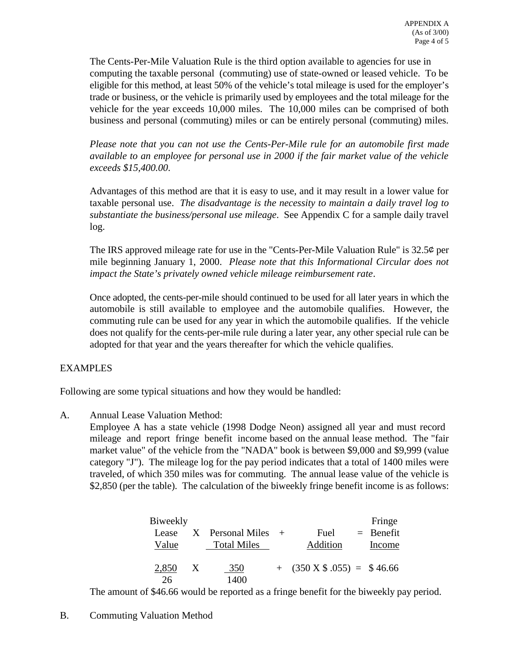The Cents-Per-Mile Valuation Rule is the third option available to agencies for use in computing the taxable personal (commuting) use of state-owned or leased vehicle. To be eligible for this method, at least 50% of the vehicle's total mileage is used for the employer's trade or business, or the vehicle is primarily used by employees and the total mileage for the vehicle for the year exceeds 10,000 miles. The 10,000 miles can be comprised of both business and personal (commuting) miles or can be entirely personal (commuting) miles.

*Please note that you can not use the Cents-Per-Mile rule for an automobile first made available to an employee for personal use in 2000 if the fair market value of the vehicle exceeds \$15,400.00*.

Advantages of this method are that it is easy to use, and it may result in a lower value for taxable personal use. *The disadvantage is the necessity to maintain a daily travel log to substantiate the business/personal use mileage*. See Appendix C for a sample daily travel log.

The IRS approved mileage rate for use in the "Cents-Per-Mile Valuation Rule" is 32.5� per mile beginning January 1, 2000. *Please note that this Informational Circular does not impact the State's privately owned vehicle mileage reimbursement rate*.

Once adopted, the cents-per-mile should continued to be used for all later years in which the automobile is still available to employee and the automobile qualifies. However, the commuting rule can be used for any year in which the automobile qualifies. If the vehicle does not qualify for the cents-per-mile rule during a later year, any other special rule can be adopted for that year and the years thereafter for which the vehicle qualifies.

# EXAMPLES

Following are some typical situations and how they would be handled:

A. Annual Lease Valuation Method:

Employee A has a state vehicle (1998 Dodge Neon) assigned all year and must record mileage and report fringe benefit income based on the annual lease method. The "fair market value" of the vehicle from the "NADA" book is between \$9,000 and \$9,999 (value category "J"). The mileage log for the pay period indicates that a total of 1400 miles were traveled, of which 350 miles was for commuting. The annual lease value of the vehicle is \$2,850 (per the table). The calculation of the biweekly fringe benefit income is as follows:

| Biweekly |   |                    |     |                               | Fringe      |
|----------|---|--------------------|-----|-------------------------------|-------------|
| Lease    |   | X Personal Miles   | $+$ | Fuel                          | $=$ Benefit |
| Value    |   | <b>Total Miles</b> |     | Addition                      | Income      |
|          |   |                    |     |                               |             |
| 2,850    | X | 350                |     | $+$ (350 X \$ .055) = \$46.66 |             |
| 26       |   | 1400               |     |                               |             |

The amount of \$46.66 would be reported as a fringe benefit for the biweekly pay period.

# B. Commuting Valuation Method